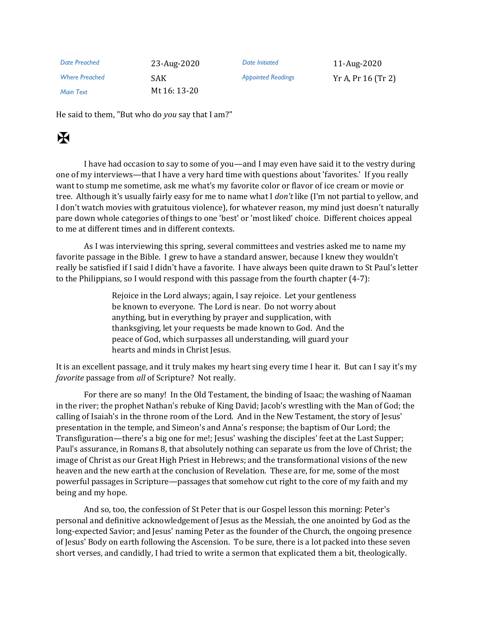| Date Preached         | 23-Aug-2020  | Date Initiated            | 11-Aug-2020           |
|-----------------------|--------------|---------------------------|-----------------------|
| <b>Where Preached</b> | SAK.         | <b>Appointed Readings</b> | $Yr A$ , Pr 16 (Tr 2) |
| Main Text             | Mt 16: 13-20 |                           |                       |

He said to them, "But who do *you* say that I am?"

## $\mathbf H$

I have had occasion to say to some of you—and I may even have said it to the vestry during one of my interviews—that I have a very hard time with questions about 'favorites.' If you really want to stump me sometime, ask me what's my favorite color or flavor of ice cream or movie or tree. Although it's usually fairly easy for me to name what I *don't* like (I'm not partial to yellow, and I don't watch movies with gratuitous violence), for whatever reason, my mind just doesn't naturally pare down whole categories of things to one 'best' or 'most liked' choice. Different choices appeal to me at different times and in different contexts.

As I was interviewing this spring, several committees and vestries asked me to name my favorite passage in the Bible. I grew to have a standard answer, because I knew they wouldn't really be satisfied if I said I didn't have a favorite. I have always been quite drawn to St Paul's letter to the Philippians, so I would respond with this passage from the fourth chapter (4-7):

> Rejoice in the Lord always; again, I say rejoice. Let your gentleness be known to everyone. The Lord is near. Do not worry about anything, but in everything by prayer and supplication, with thanksgiving, let your requests be made known to God. And the peace of God, which surpasses all understanding, will guard your hearts and minds in Christ Jesus.

It is an excellent passage, and it truly makes my heart sing every time I hear it. But can I say it's my *favorite* passage from *all* of Scripture? Not really.

For there are so many! In the Old Testament, the binding of Isaac; the washing of Naaman in the river; the prophet Nathan's rebuke of King David; Jacob's wrestling with the Man of God; the calling of Isaiah's in the throne room of the Lord. And in the New Testament, the story of Jesus' presentation in the temple, and Simeon's and Anna's response; the baptism of Our Lord; the Transfiguration—there's a big one for me!; Jesus' washing the disciples' feet at the Last Supper; Paul's assurance, in Romans 8, that absolutely nothing can separate us from the love of Christ; the image of Christ as our Great High Priest in Hebrews; and the transformational visions of the new heaven and the new earth at the conclusion of Revelation. These are, for me, some of the most powerful passages in Scripture—passages that somehow cut right to the core of my faith and my being and my hope.

And so, too, the confession of St Peter that is our Gospel lesson this morning: Peter's personal and definitive acknowledgement of Jesus as the Messiah, the one anointed by God as the long-expected Savior; and Jesus' naming Peter as the founder of the Church, the ongoing presence of Jesus' Body on earth following the Ascension. To be sure, there is a lot packed into these seven short verses, and candidly, I had tried to write a sermon that explicated them a bit, theologically.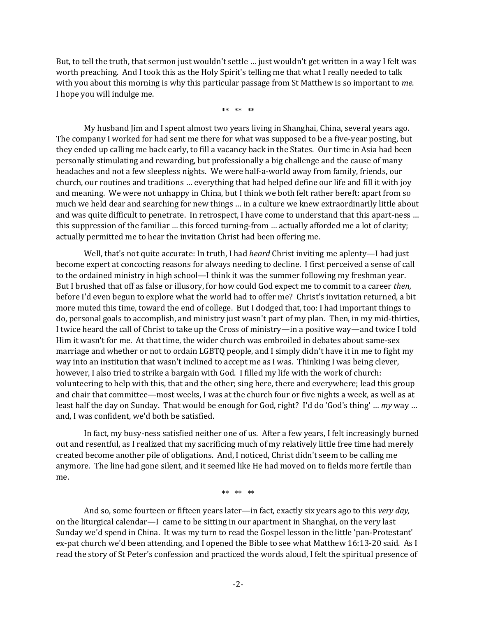But, to tell the truth, that sermon just wouldn't settle … just wouldn't get written in a way I felt was worth preaching. And I took this as the Holy Spirit's telling me that what I really needed to talk with you about this morning is why this particular passage from St Matthew is so important to *me*. I hope you will indulge me.

\*\* \*\* \*\*

My husband Jim and I spent almost two years living in Shanghai, China, several years ago. The company I worked for had sent me there for what was supposed to be a five-year posting, but they ended up calling me back early, to fill a vacancy back in the States. Our time in Asia had been personally stimulating and rewarding, but professionally a big challenge and the cause of many headaches and not a few sleepless nights. We were half-a-world away from family, friends, our church, our routines and traditions … everything that had helped define our life and fill it with joy and meaning. We were not unhappy in China, but I think we both felt rather bereft: apart from so much we held dear and searching for new things … in a culture we knew extraordinarily little about and was quite difficult to penetrate. In retrospect, I have come to understand that this apart-ness … this suppression of the familiar … this forced turning-from … actually afforded me a lot of clarity; actually permitted me to hear the invitation Christ had been offering me.

Well, that's not quite accurate: In truth, I had *heard* Christ inviting me aplenty—I had just become expert at concocting reasons for always needing to decline. I first perceived a sense of call to the ordained ministry in high school—I think it was the summer following my freshman year. But I brushed that off as false or illusory, for how could God expect me to commit to a career *then,* before I'd even begun to explore what the world had to offer me? Christ's invitation returned, a bit more muted this time, toward the end of college. But I dodged that, too: I had important things to do, personal goals to accomplish, and ministry just wasn't part of my plan. Then, in my mid-thirties, I twice heard the call of Christ to take up the Cross of ministry—in a positive way—and twice I told Him it wasn't for me. At that time, the wider church was embroiled in debates about same-sex marriage and whether or not to ordain LGBTQ people, and I simply didn't have it in me to fight my way into an institution that wasn't inclined to accept me as I was. Thinking I was being clever, however, I also tried to strike a bargain with God. I filled my life with the work of church: volunteering to help with this, that and the other; sing here, there and everywhere; lead this group and chair that committee—most weeks, I was at the church four or five nights a week, as well as at least half the day on Sunday. That would be enough for God, right? I'd do 'God's thing' … *my* way … and, I was confident, we'd both be satisfied.

In fact, my busy-ness satisfied neither one of us. After a few years, I felt increasingly burned out and resentful, as I realized that my sacrificing much of my relatively little free time had merely created become another pile of obligations. And, I noticed, Christ didn't seem to be calling me anymore. The line had gone silent, and it seemed like He had moved on to fields more fertile than me.

\*\* \*\* \*\*

And so, some fourteen or fifteen years later—in fact, exactly six years ago to this *very day,* on the liturgical calendar—I came to be sitting in our apartment in Shanghai, on the very last Sunday we'd spend in China. It was my turn to read the Gospel lesson in the little 'pan-Protestant' ex-pat church we'd been attending, and I opened the Bible to see what Matthew 16:13-20 said. As I read the story of St Peter's confession and practiced the words aloud, I felt the spiritual presence of